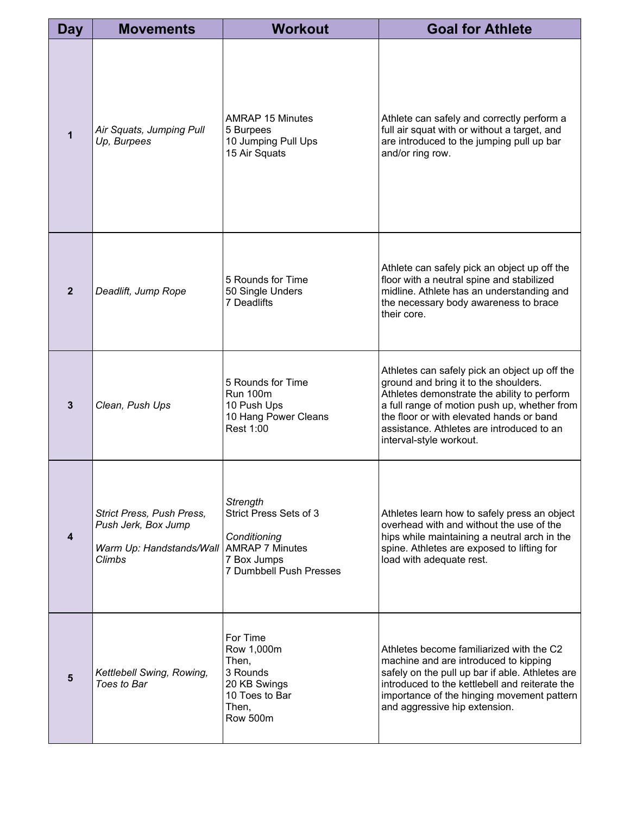| Day          | <b>Movements</b>                                                                       | <b>Workout</b>                                                                                                         | <b>Goal for Athlete</b>                                                                                                                                                                                                                                                                                   |
|--------------|----------------------------------------------------------------------------------------|------------------------------------------------------------------------------------------------------------------------|-----------------------------------------------------------------------------------------------------------------------------------------------------------------------------------------------------------------------------------------------------------------------------------------------------------|
| 1            | Air Squats, Jumping Pull<br>Up, Burpees                                                | <b>AMRAP 15 Minutes</b><br>5 Burpees<br>10 Jumping Pull Ups<br>15 Air Squats                                           | Athlete can safely and correctly perform a<br>full air squat with or without a target, and<br>are introduced to the jumping pull up bar<br>and/or ring row.                                                                                                                                               |
| $\mathbf{2}$ | Deadlift, Jump Rope                                                                    | 5 Rounds for Time<br>50 Single Unders<br>7 Deadlifts                                                                   | Athlete can safely pick an object up off the<br>floor with a neutral spine and stabilized<br>midline. Athlete has an understanding and<br>the necessary body awareness to brace<br>their core.                                                                                                            |
| 3            | Clean, Push Ups                                                                        | 5 Rounds for Time<br><b>Run 100m</b><br>10 Push Ups<br>10 Hang Power Cleans<br>Rest 1:00                               | Athletes can safely pick an object up off the<br>ground and bring it to the shoulders.<br>Athletes demonstrate the ability to perform<br>a full range of motion push up, whether from<br>the floor or with elevated hands or band<br>assistance. Athletes are introduced to an<br>interval-style workout. |
| 4            | Strict Press, Push Press,<br>Push Jerk, Box Jump<br>Warm Up: Handstands/Wall<br>Climbs | Strength<br>Strict Press Sets of 3<br>Conditioning<br><b>AMRAP 7 Minutes</b><br>7 Box Jumps<br>7 Dumbbell Push Presses | Athletes learn how to safely press an object<br>overhead with and without the use of the<br>hips while maintaining a neutral arch in the<br>spine. Athletes are exposed to lifting for<br>load with adequate rest.                                                                                        |
| 5            | Kettlebell Swing, Rowing,<br>Toes to Bar                                               | For Time<br>Row 1,000m<br>Then,<br>3 Rounds<br>20 KB Swings<br>10 Toes to Bar<br>Then,<br><b>Row 500m</b>              | Athletes become familiarized with the C2<br>machine and are introduced to kipping<br>safely on the pull up bar if able. Athletes are<br>introduced to the kettlebell and reiterate the<br>importance of the hinging movement pattern<br>and aggressive hip extension.                                     |